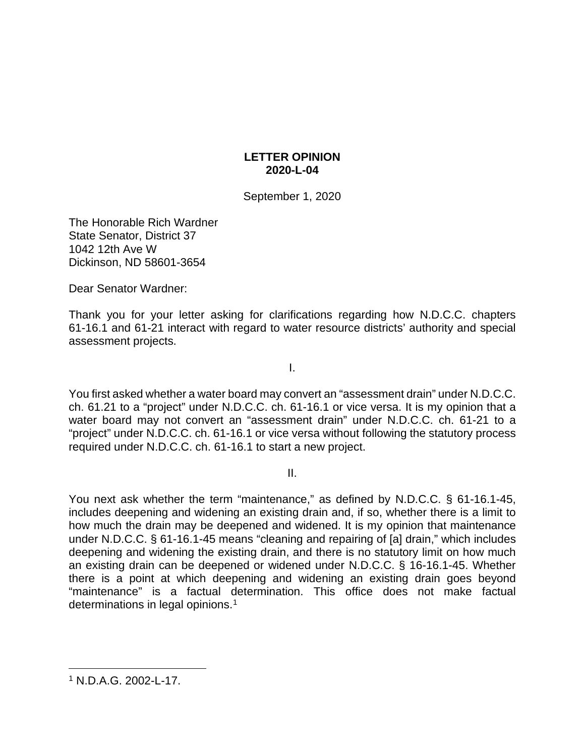# **LETTER OPINION 2020-L-04**

September 1, 2020

The Honorable Rich Wardner State Senator, District 37 1042 12th Ave W Dickinson, ND 58601-3654

Dear Senator Wardner:

Thank you for your letter asking for clarifications regarding how N.D.C.C. chapters 61-16.1 and 61-21 interact with regard to water resource districts' authority and special assessment projects.

I.

You first asked whether a water board may convert an "assessment drain" under N.D.C.C. ch. 61.21 to a "project" under N.D.C.C. ch. 61-16.1 or vice versa. It is my opinion that a water board may not convert an "assessment drain" under N.D.C.C. ch. 61-21 to a "project" under N.D.C.C. ch. 61-16.1 or vice versa without following the statutory process required under N.D.C.C. ch. 61-16.1 to start a new project.

II.

You next ask whether the term "maintenance," as defined by N.D.C.C. § 61-16.1-45, includes deepening and widening an existing drain and, if so, whether there is a limit to how much the drain may be deepened and widened. It is my opinion that maintenance under N.D.C.C. § 61-16.1-45 means "cleaning and repairing of [a] drain," which includes deepening and widening the existing drain, and there is no statutory limit on how much an existing drain can be deepened or widened under N.D.C.C. § 16-16.1-45. Whether there is a point at which deepening and widening an existing drain goes beyond "maintenance" is a factual determination. This office does not make factual determinations in legal opinions.<sup>[1](#page-0-0)</sup>

<span id="page-0-0"></span><sup>1</sup> N.D.A.G. 2002-L-17.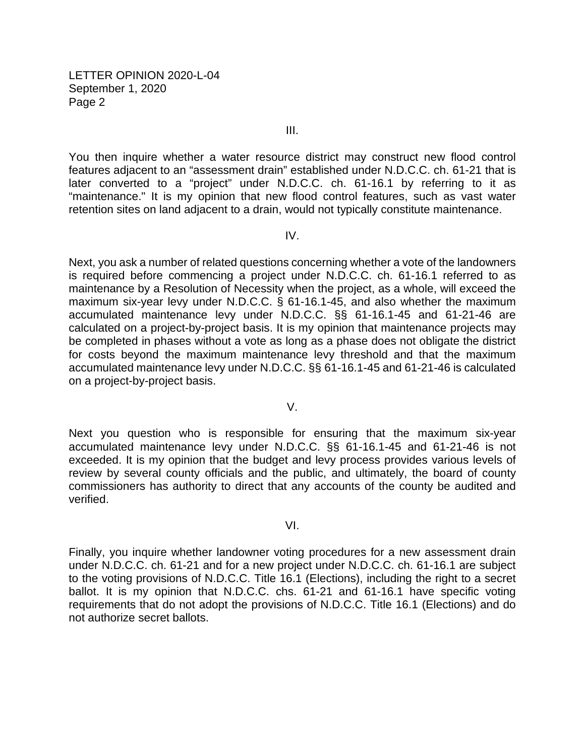III.

You then inquire whether a water resource district may construct new flood control features adjacent to an "assessment drain" established under N.D.C.C. ch. 61-21 that is later converted to a "project" under N.D.C.C. ch. 61-16.1 by referring to it as "maintenance." It is my opinion that new flood control features, such as vast water retention sites on land adjacent to a drain, would not typically constitute maintenance.

### IV.

Next, you ask a number of related questions concerning whether a vote of the landowners is required before commencing a project under N.D.C.C. ch. 61-16.1 referred to as maintenance by a Resolution of Necessity when the project, as a whole, will exceed the maximum six-year levy under N.D.C.C. § 61-16.1-45, and also whether the maximum accumulated maintenance levy under N.D.C.C. §§ 61-16.1-45 and 61-21-46 are calculated on a project-by-project basis. It is my opinion that maintenance projects may be completed in phases without a vote as long as a phase does not obligate the district for costs beyond the maximum maintenance levy threshold and that the maximum accumulated maintenance levy under N.D.C.C. §§ 61-16.1-45 and 61-21-46 is calculated on a project-by-project basis.

#### V.

Next you question who is responsible for ensuring that the maximum six-year accumulated maintenance levy under N.D.C.C. §§ 61-16.1-45 and 61-21-46 is not exceeded. It is my opinion that the budget and levy process provides various levels of review by several county officials and the public, and ultimately, the board of county commissioners has authority to direct that any accounts of the county be audited and verified.

#### VI.

Finally, you inquire whether landowner voting procedures for a new assessment drain under N.D.C.C. ch. 61-21 and for a new project under N.D.C.C. ch. 61-16.1 are subject to the voting provisions of N.D.C.C. Title 16.1 (Elections), including the right to a secret ballot. It is my opinion that N.D.C.C. chs. 61-21 and 61-16.1 have specific voting requirements that do not adopt the provisions of N.D.C.C. Title 16.1 (Elections) and do not authorize secret ballots.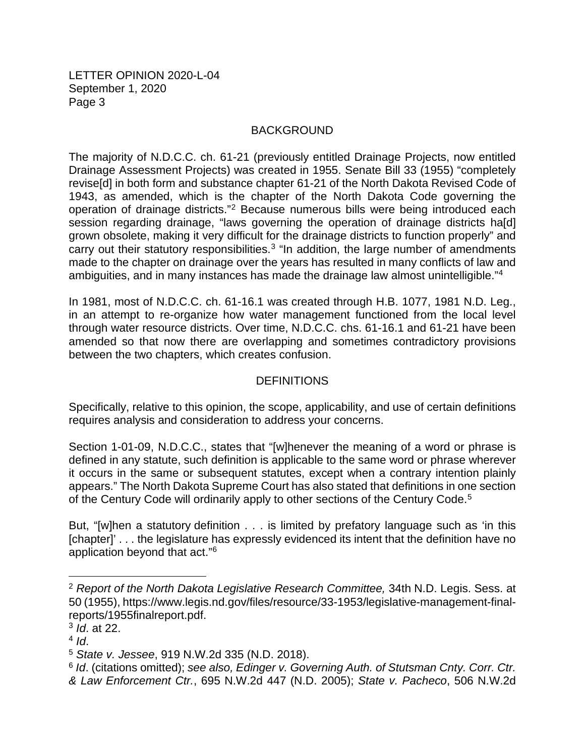# BACKGROUND

The majority of N.D.C.C. ch. 61-21 (previously entitled Drainage Projects, now entitled Drainage Assessment Projects) was created in 1955. Senate Bill 33 (1955) "completely revise[d] in both form and substance chapter 61-21 of the North Dakota Revised Code of 1943, as amended, which is the chapter of the North Dakota Code governing the operation of drainage districts."[2](#page-2-0) Because numerous bills were being introduced each session regarding drainage, "laws governing the operation of drainage districts ha[d] grown obsolete, making it very difficult for the drainage districts to function properly" and carry out their statutory responsibilities.<sup>[3](#page-2-1)</sup> "In addition, the large number of amendments made to the chapter on drainage over the years has resulted in many conflicts of law and ambiguities, and in many instances has made the drainage law almost unintelligible."[4](#page-2-2)

In 1981, most of N.D.C.C. ch. 61-16.1 was created through H.B. 1077, 1981 N.D. Leg., in an attempt to re-organize how water management functioned from the local level through water resource districts. Over time, N.D.C.C. chs. 61-16.1 and 61-21 have been amended so that now there are overlapping and sometimes contradictory provisions between the two chapters, which creates confusion.

# DEFINITIONS

Specifically, relative to this opinion, the scope, applicability, and use of certain definitions requires analysis and consideration to address your concerns.

Section 1-01-09, N.D.C.C., states that "[w]henever the meaning of a word or phrase is defined in any statute, such definition is applicable to the same word or phrase wherever it occurs in the same or subsequent statutes, except when a contrary intention plainly appears." The North Dakota Supreme Court has also stated that definitions in one section of the Century Code will ordinarily apply to other sections of the Century Code.<sup>5</sup>

But, "[w]hen a statutory definition . . . is limited by prefatory language such as 'in this [chapter]' . . . the legislature has expressly evidenced its intent that the definition have no application beyond that act."[6](#page-2-4)

<span id="page-2-0"></span><sup>2</sup> *Report of the North Dakota Legislative Research Committee,* 34th N.D. Legis. Sess. at 50 (1955), [https://www.legis.nd.gov/files/resource/33-1953/legislative-management-final](https://www.legis.nd.gov/files/resource/331953/legislativemanagementfinalreports/1955finalreport.pdf)[reports/1955finalreport.pdf.](https://www.legis.nd.gov/files/resource/331953/legislativemanagementfinalreports/1955finalreport.pdf)

<span id="page-2-1"></span><sup>3</sup> *Id*. at 22.

<span id="page-2-2"></span><sup>4</sup> *Id*.

<span id="page-2-3"></span><sup>5</sup> *State v. Jessee*, 919 N.W.2d 335 (N.D. 2018).

<span id="page-2-4"></span><sup>6</sup> *Id*. (citations omitted); *see also, Edinger v. Governing Auth. of Stutsman Cnty. Corr. Ctr. & Law Enforcement Ctr.*, 695 N.W.2d 447 (N.D. 2005); *State v. Pacheco*, 506 N.W.2d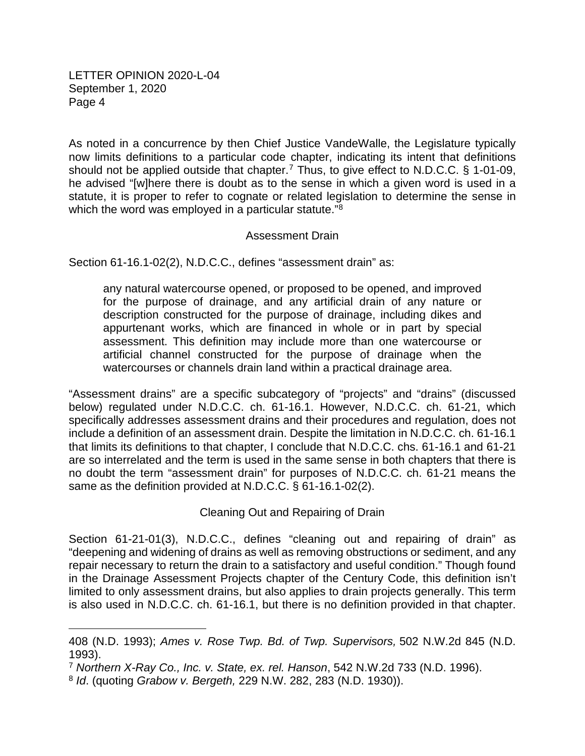As noted in a concurrence by then Chief Justice VandeWalle, the Legislature typically now limits definitions to a particular code chapter, indicating its intent that definitions should not be applied outside that chapter.<sup>[7](#page-3-0)</sup> Thus, to give effect to N.D.C.C.  $\S$  1-01-09, he advised "[w]here there is doubt as to the sense in which a given word is used in a statute, it is proper to refer to cognate or related legislation to determine the sense in which the word was employed in a particular statute."<sup>[8](#page-3-1)</sup>

# Assessment Drain

Section 61-16.1-02(2), N.D.C.C., defines "assessment drain" as:

any natural watercourse opened, or proposed to be opened, and improved for the purpose of drainage, and any artificial drain of any nature or description constructed for the purpose of drainage, including dikes and appurtenant works, which are financed in whole or in part by special assessment. This definition may include more than one watercourse or artificial channel constructed for the purpose of drainage when the watercourses or channels drain land within a practical drainage area.

"Assessment drains" are a specific subcategory of "projects" and "drains" (discussed below) regulated under N.D.C.C. ch. 61-16.1. However, N.D.C.C. ch. 61-21, which specifically addresses assessment drains and their procedures and regulation, does not include a definition of an assessment drain. Despite the limitation in N.D.C.C. ch. 61-16.1 that limits its definitions to that chapter, I conclude that N.D.C.C. chs. 61-16.1 and 61-21 are so interrelated and the term is used in the same sense in both chapters that there is no doubt the term "assessment drain" for purposes of N.D.C.C. ch. 61-21 means the same as the definition provided at N.D.C.C. § 61-16.1-02(2).

Cleaning Out and Repairing of Drain

Section 61-21-01(3), N.D.C.C., defines "cleaning out and repairing of drain" as "deepening and widening of drains as well as removing obstructions or sediment, and any repair necessary to return the drain to a satisfactory and useful condition." Though found in the Drainage Assessment Projects chapter of the Century Code, this definition isn't limited to only assessment drains, but also applies to drain projects generally. This term is also used in N.D.C.C. ch. 61-16.1, but there is no definition provided in that chapter.

<sup>408 (</sup>N.D. 1993); *Ames v. Rose Twp. Bd. of Twp. Supervisors,* 502 N.W.2d 845 (N.D. 1993).

<span id="page-3-0"></span><sup>7</sup> *Northern X-Ray Co., Inc. v. State, ex. rel. Hanson*, 542 N.W.2d 733 (N.D. 1996).

<span id="page-3-1"></span><sup>8</sup> *Id*. (quoting *Grabow v. Bergeth,* 229 N.W. 282, 283 (N.D. 1930)).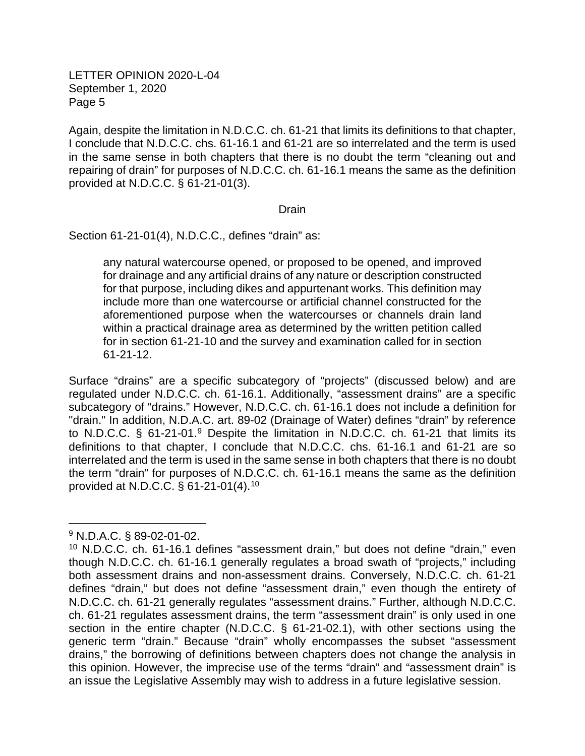Again, despite the limitation in N.D.C.C. ch. 61-21 that limits its definitions to that chapter, I conclude that N.D.C.C. chs. 61-16.1 and 61-21 are so interrelated and the term is used in the same sense in both chapters that there is no doubt the term "cleaning out and repairing of drain" for purposes of N.D.C.C. ch. 61-16.1 means the same as the definition provided at N.D.C.C. § 61-21-01(3).

### Drain

Section 61-21-01(4), N.D.C.C., defines "drain" as:

any natural watercourse opened, or proposed to be opened, and improved for drainage and any artificial drains of any nature or description constructed for that purpose, including dikes and appurtenant works. This definition may include more than one watercourse or artificial channel constructed for the aforementioned purpose when the watercourses or channels drain land within a practical drainage area as determined by the written petition called for in section 61-21-10 and the survey and examination called for in section 61-21-12.

Surface "drains" are a specific subcategory of "projects" (discussed below) and are regulated under N.D.C.C. ch. 61-16.1. Additionally, "assessment drains" are a specific subcategory of "drains." However, N.D.C.C. ch. 61-16.1 does not include a definition for "drain." In addition, N.D.A.C. art. 89-02 (Drainage of Water) defines "drain" by reference to N.D.C.C. § 61-21-01. [9](#page-4-0) Despite the limitation in N.D.C.C. ch. 61-21 that limits its definitions to that chapter, I conclude that N.D.C.C. chs. 61-16.1 and 61-21 are so interrelated and the term is used in the same sense in both chapters that there is no doubt the term "drain" for purposes of N.D.C.C. ch. 61-16.1 means the same as the definition provided at N.D.C.C. § 61-21-01(4). [10](#page-4-1)

<span id="page-4-0"></span><sup>9</sup> N.D.A.C. § 89-02-01-02.

<span id="page-4-1"></span><sup>10</sup> N.D.C.C. ch. 61-16.1 defines "assessment drain," but does not define "drain," even though N.D.C.C. ch. 61-16.1 generally regulates a broad swath of "projects," including both assessment drains and non-assessment drains. Conversely, N.D.C.C. ch. 61-21 defines "drain," but does not define "assessment drain," even though the entirety of N.D.C.C. ch. 61-21 generally regulates "assessment drains." Further, although N.D.C.C. ch. 61-21 regulates assessment drains, the term "assessment drain" is only used in one section in the entire chapter (N.D.C.C. § 61-21-02.1), with other sections using the generic term "drain." Because "drain" wholly encompasses the subset "assessment drains," the borrowing of definitions between chapters does not change the analysis in this opinion. However, the imprecise use of the terms "drain" and "assessment drain" is an issue the Legislative Assembly may wish to address in a future legislative session.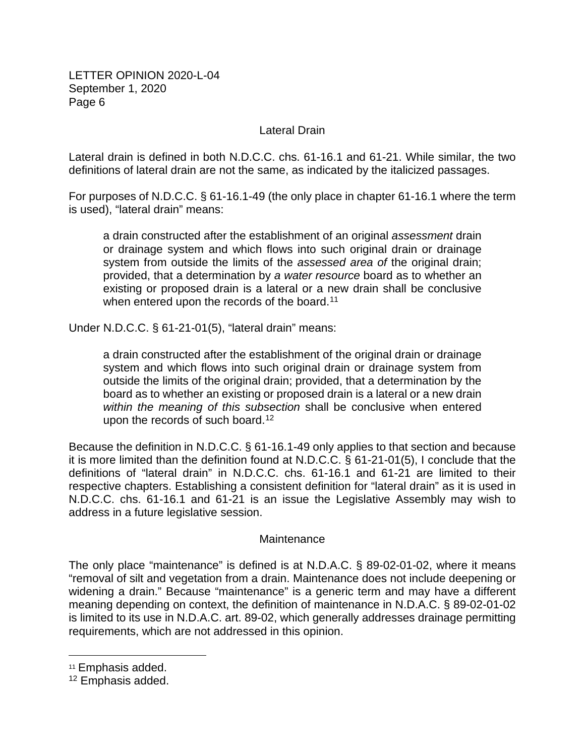# Lateral Drain

Lateral drain is defined in both N.D.C.C. chs. 61-16.1 and 61-21. While similar, the two definitions of lateral drain are not the same, as indicated by the italicized passages.

For purposes of N.D.C.C. § 61-16.1-49 (the only place in chapter 61-16.1 where the term is used), "lateral drain" means:

a drain constructed after the establishment of an original *assessment* drain or drainage system and which flows into such original drain or drainage system from outside the limits of the *assessed area of* the original drain; provided, that a determination by *a water resource* board as to whether an existing or proposed drain is a lateral or a new drain shall be conclusive when entered upon the records of the board.<sup>[11](#page-5-0)</sup>

Under N.D.C.C. § 61-21-01(5), "lateral drain" means:

a drain constructed after the establishment of the original drain or drainage system and which flows into such original drain or drainage system from outside the limits of the original drain; provided, that a determination by the board as to whether an existing or proposed drain is a lateral or a new drain *within the meaning of this subsection* shall be conclusive when entered upon the records of such board.<sup>[12](#page-5-1)</sup>

Because the definition in N.D.C.C. § 61-16.1-49 only applies to that section and because it is more limited than the definition found at N.D.C.C. § 61-21-01(5), I conclude that the definitions of "lateral drain" in N.D.C.C. chs. 61-16.1 and 61-21 are limited to their respective chapters. Establishing a consistent definition for "lateral drain" as it is used in N.D.C.C. chs. 61-16.1 and 61-21 is an issue the Legislative Assembly may wish to address in a future legislative session.

### **Maintenance**

The only place "maintenance" is defined is at N.D.A.C. § 89-02-01-02, where it means "removal of silt and vegetation from a drain. Maintenance does not include deepening or widening a drain." Because "maintenance" is a generic term and may have a different meaning depending on context, the definition of maintenance in N.D.A.C. § 89-02-01-02 is limited to its use in N.D.A.C. art. 89-02, which generally addresses drainage permitting requirements, which are not addressed in this opinion.

<span id="page-5-0"></span><sup>11</sup> Emphasis added.

<span id="page-5-1"></span><sup>12</sup> Emphasis added.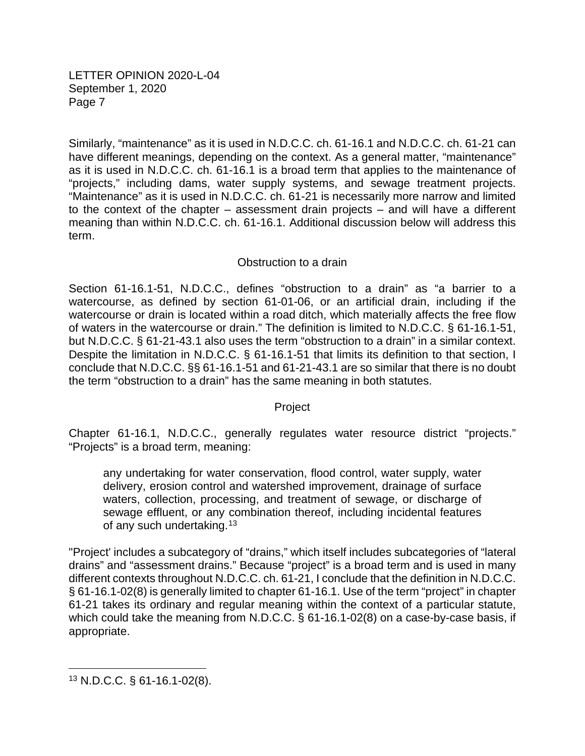Similarly, "maintenance" as it is used in N.D.C.C. ch. 61-16.1 and N.D.C.C. ch. 61-21 can have different meanings, depending on the context. As a general matter, "maintenance" as it is used in N.D.C.C. ch. 61-16.1 is a broad term that applies to the maintenance of "projects," including dams, water supply systems, and sewage treatment projects. "Maintenance" as it is used in N.D.C.C. ch. 61-21 is necessarily more narrow and limited to the context of the chapter – assessment drain projects – and will have a different meaning than within N.D.C.C. ch. 61-16.1. Additional discussion below will address this term.

### Obstruction to a drain

Section 61-16.1-51, N.D.C.C., defines "obstruction to a drain" as "a barrier to a watercourse, as defined by section 61-01-06, or an artificial drain, including if the watercourse or drain is located within a road ditch, which materially affects the free flow of waters in the watercourse or drain." The definition is limited to N.D.C.C. § 61-16.1-51, but N.D.C.C. § 61-21-43.1 also uses the term "obstruction to a drain" in a similar context. Despite the limitation in N.D.C.C. § 61-16.1-51 that limits its definition to that section, I conclude that N.D.C.C. §§ 61-16.1-51 and 61-21-43.1 are so similar that there is no doubt the term "obstruction to a drain" has the same meaning in both statutes.

### Project

Chapter 61-16.1, N.D.C.C., generally regulates water resource district "projects." "Projects" is a broad term, meaning:

any undertaking for water conservation, flood control, water supply, water delivery, erosion control and watershed improvement, drainage of surface waters, collection, processing, and treatment of sewage, or discharge of sewage effluent, or any combination thereof, including incidental features of any such undertaking.<sup>[13](#page-6-0)</sup>

"Project' includes a subcategory of "drains," which itself includes subcategories of "lateral drains" and "assessment drains." Because "project" is a broad term and is used in many different contexts throughout N.D.C.C. ch. 61-21, I conclude that the definition in N.D.C.C. § 61-16.1-02(8) is generally limited to chapter 61-16.1. Use of the term "project" in chapter 61-21 takes its ordinary and regular meaning within the context of a particular statute, which could take the meaning from N.D.C.C. § 61-16.1-02(8) on a case-by-case basis, if appropriate.

<span id="page-6-0"></span><sup>13</sup> N.D.C.C. § 61-16.1-02(8).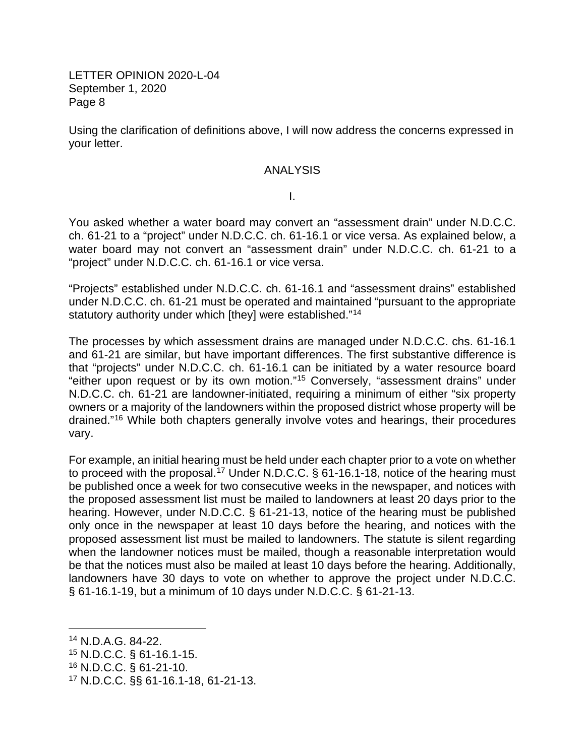Using the clarification of definitions above, I will now address the concerns expressed in your letter.

### ANALYSIS

I.

You asked whether a water board may convert an "assessment drain" under N.D.C.C. ch. 61-21 to a "project" under N.D.C.C. ch. 61-16.1 or vice versa. As explained below, a water board may not convert an "assessment drain" under N.D.C.C. ch. 61-21 to a "project" under N.D.C.C. ch. 61-16.1 or vice versa.

"Projects" established under N.D.C.C. ch. 61-16.1 and "assessment drains" established under N.D.C.C. ch. 61-21 must be operated and maintained "pursuant to the appropriate statutory authority under which [they] were established.["14](#page-7-0)

The processes by which assessment drains are managed under N.D.C.C. chs. 61-16.1 and 61-21 are similar, but have important differences. The first substantive difference is that "projects" under N.D.C.C. ch. 61-16.1 can be initiated by a water resource board "either upon request or by its own motion."[15](#page-7-1) Conversely, "assessment drains" under N.D.C.C. ch. 61-21 are landowner-initiated, requiring a minimum of either "six property owners or a majority of the landowners within the proposed district whose property will be drained."[16](#page-7-2) While both chapters generally involve votes and hearings, their procedures vary.

For example, an initial hearing must be held under each chapter prior to a vote on whether to proceed with the proposal.<sup>[17](#page-7-3)</sup> Under N.D.C.C. § 61-16.1-18, notice of the hearing must be published once a week for two consecutive weeks in the newspaper, and notices with the proposed assessment list must be mailed to landowners at least 20 days prior to the hearing. However, under N.D.C.C. § 61-21-13, notice of the hearing must be published only once in the newspaper at least 10 days before the hearing, and notices with the proposed assessment list must be mailed to landowners. The statute is silent regarding when the landowner notices must be mailed, though a reasonable interpretation would be that the notices must also be mailed at least 10 days before the hearing. Additionally, landowners have 30 days to vote on whether to approve the project under N.D.C.C. § 61-16.1-19, but a minimum of 10 days under N.D.C.C. § 61-21-13.

<span id="page-7-2"></span><sup>16</sup> N.D.C.C. § 61-21-10.

<span id="page-7-0"></span><sup>14</sup> N.D.A.G. 84-22.

<span id="page-7-1"></span><sup>15</sup> N.D.C.C. § 61-16.1-15.

<span id="page-7-3"></span><sup>17</sup> N.D.C.C. §§ 61-16.1-18, 61-21-13.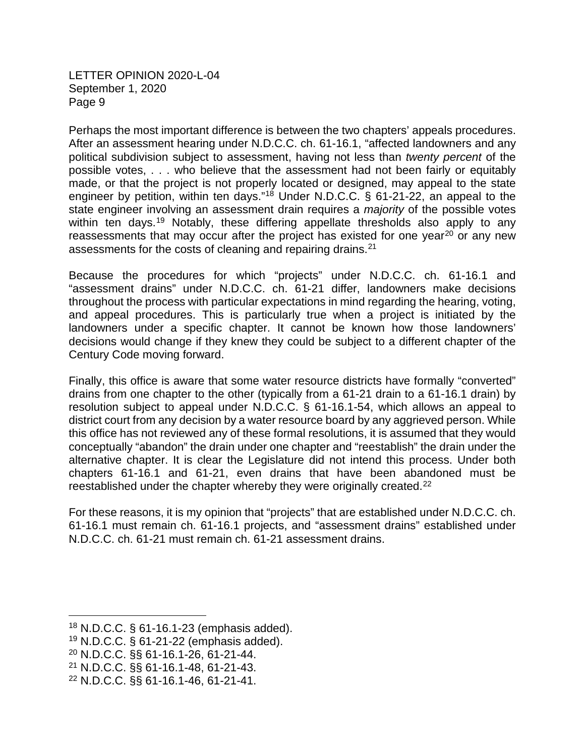Perhaps the most important difference is between the two chapters' appeals procedures. After an assessment hearing under N.D.C.C. ch. 61-16.1, "affected landowners and any political subdivision subject to assessment, having not less than *twenty percent* of the possible votes, . . . who believe that the assessment had not been fairly or equitably made, or that the project is not properly located or designed, may appeal to the state engineer by petition, within ten days."<sup>[18](#page-8-0)</sup> Under N.D.C.C. § 61-21-22, an appeal to the state engineer involving an assessment drain requires a *majority* of the possible votes within ten days.<sup>[19](#page-8-1)</sup> Notably, these differing appellate thresholds also apply to any reassessments that may occur after the project has existed for one year<sup>[20](#page-8-2)</sup> or any new assessments for the costs of cleaning and repairing drains.<sup>[21](#page-8-3)</sup>

Because the procedures for which "projects" under N.D.C.C. ch. 61-16.1 and "assessment drains" under N.D.C.C. ch. 61-21 differ, landowners make decisions throughout the process with particular expectations in mind regarding the hearing, voting, and appeal procedures. This is particularly true when a project is initiated by the landowners under a specific chapter. It cannot be known how those landowners' decisions would change if they knew they could be subject to a different chapter of the Century Code moving forward.

Finally, this office is aware that some water resource districts have formally "converted" drains from one chapter to the other (typically from a 61-21 drain to a 61-16.1 drain) by resolution subject to appeal under N.D.C.C. § 61-16.1-54, which allows an appeal to district court from any decision by a water resource board by any aggrieved person. While this office has not reviewed any of these formal resolutions, it is assumed that they would conceptually "abandon" the drain under one chapter and "reestablish" the drain under the alternative chapter. It is clear the Legislature did not intend this process. Under both chapters 61-16.1 and 61-21, even drains that have been abandoned must be reestablished under the chapter whereby they were originally created.<sup>[22](#page-8-4)</sup>

For these reasons, it is my opinion that "projects" that are established under N.D.C.C. ch. 61-16.1 must remain ch. 61-16.1 projects, and "assessment drains" established under N.D.C.C. ch. 61-21 must remain ch. 61-21 assessment drains.

<span id="page-8-0"></span><sup>18</sup> N.D.C.C. § 61-16.1-23 (emphasis added).

<span id="page-8-1"></span> $19$  N.D.C.C. § 61-21-22 (emphasis added).

<span id="page-8-2"></span><sup>20</sup> N.D.C.C. §§ 61-16.1-26, 61-21-44.

<span id="page-8-3"></span><sup>21</sup> N.D.C.C. §§ 61-16.1-48, 61-21-43.

<span id="page-8-4"></span><sup>22</sup> N.D.C.C. §§ 61-16.1-46, 61-21-41.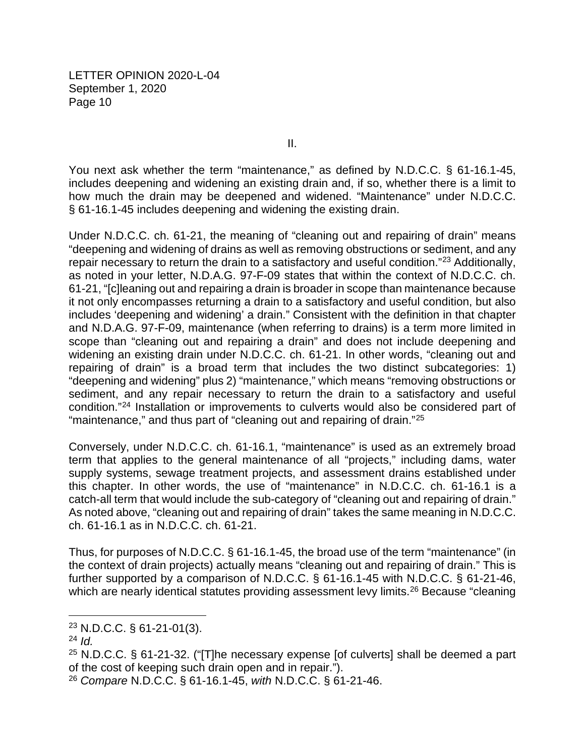II.

You next ask whether the term "maintenance," as defined by N.D.C.C. § 61-16.1-45, includes deepening and widening an existing drain and, if so, whether there is a limit to how much the drain may be deepened and widened. "Maintenance" under N.D.C.C. § 61-16.1-45 includes deepening and widening the existing drain.

Under N.D.C.C. ch. 61-21, the meaning of "cleaning out and repairing of drain" means "deepening and widening of drains as well as removing obstructions or sediment, and any repair necessary to return the drain to a satisfactory and useful condition."<sup>[23](#page-9-0)</sup> Additionally, as noted in your letter, N.D.A.G. 97-F-09 states that within the context of N.D.C.C. ch. 61-21, "[c]leaning out and repairing a drain is broader in scope than maintenance because it not only encompasses returning a drain to a satisfactory and useful condition, but also includes 'deepening and widening' a drain." Consistent with the definition in that chapter and N.D.A.G. 97-F-09, maintenance (when referring to drains) is a term more limited in scope than "cleaning out and repairing a drain" and does not include deepening and widening an existing drain under N.D.C.C. ch. 61-21. In other words, "cleaning out and repairing of drain" is a broad term that includes the two distinct subcategories: 1) "deepening and widening" plus 2) "maintenance," which means "removing obstructions or sediment, and any repair necessary to return the drain to a satisfactory and useful condition."[24](#page-9-1) Installation or improvements to culverts would also be considered part of "maintenance," and thus part of "cleaning out and repairing of drain."<sup>[25](#page-9-2)</sup>

Conversely, under N.D.C.C. ch. 61-16.1, "maintenance" is used as an extremely broad term that applies to the general maintenance of all "projects," including dams, water supply systems, sewage treatment projects, and assessment drains established under this chapter. In other words, the use of "maintenance" in N.D.C.C. ch. 61-16.1 is a catch-all term that would include the sub-category of "cleaning out and repairing of drain." As noted above, "cleaning out and repairing of drain" takes the same meaning in N.D.C.C. ch. 61-16.1 as in N.D.C.C. ch. 61-21.

Thus, for purposes of N.D.C.C. § 61-16.1-45, the broad use of the term "maintenance" (in the context of drain projects) actually means "cleaning out and repairing of drain." This is further supported by a comparison of N.D.C.C. § 61-16.1-45 with N.D.C.C. § 61-21-46, which are nearly identical statutes providing assessment levy limits.<sup>[26](#page-9-3)</sup> Because "cleaning"

<span id="page-9-0"></span><sup>23</sup> N.D.C.C. § 61-21-01(3).

<span id="page-9-1"></span><sup>24</sup> *Id.*

<span id="page-9-2"></span> $25$  N.D.C.C. § 61-21-32. ("T]he necessary expense [of culverts] shall be deemed a part of the cost of keeping such drain open and in repair.").

<span id="page-9-3"></span><sup>26</sup> *Compare* N.D.C.C. § 61-16.1-45, *with* N.D.C.C. § 61-21-46.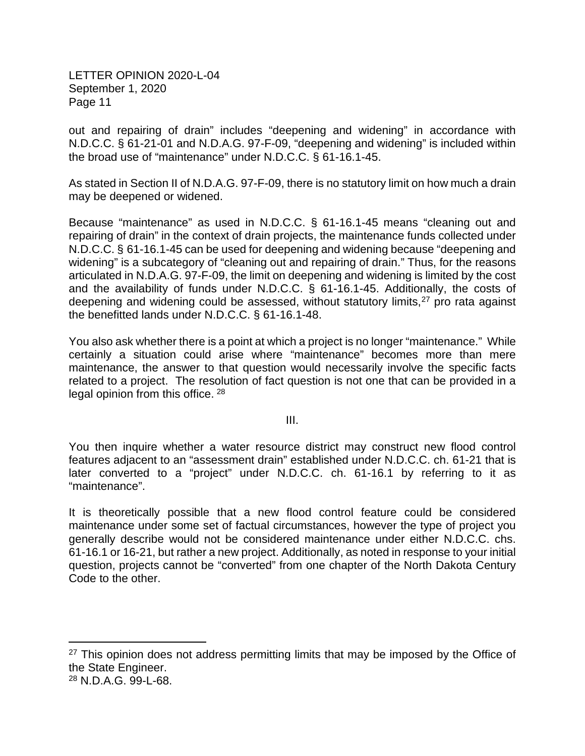out and repairing of drain" includes "deepening and widening" in accordance with N.D.C.C. § 61-21-01 and N.D.A.G. 97-F-09, "deepening and widening" is included within the broad use of "maintenance" under N.D.C.C. § 61-16.1-45.

As stated in Section II of N.D.A.G. 97-F-09, there is no statutory limit on how much a drain may be deepened or widened.

Because "maintenance" as used in N.D.C.C. § 61-16.1-45 means "cleaning out and repairing of drain" in the context of drain projects, the maintenance funds collected under N.D.C.C. § 61-16.1-45 can be used for deepening and widening because "deepening and widening" is a subcategory of "cleaning out and repairing of drain." Thus, for the reasons articulated in N.D.A.G. 97-F-09, the limit on deepening and widening is limited by the cost and the availability of funds under N.D.C.C. § 61-16.1-45. Additionally, the costs of deepening and widening could be assessed, without statutory limits,<sup>[27](#page-10-0)</sup> pro rata against the benefitted lands under N.D.C.C. § 61-16.1-48.

You also ask whether there is a point at which a project is no longer "maintenance." While certainly a situation could arise where "maintenance" becomes more than mere maintenance, the answer to that question would necessarily involve the specific facts related to a project. The resolution of fact question is not one that can be provided in a legal opinion from this office. [28](#page-10-1)

III.

You then inquire whether a water resource district may construct new flood control features adjacent to an "assessment drain" established under N.D.C.C. ch. 61-21 that is later converted to a "project" under N.D.C.C. ch. 61-16.1 by referring to it as "maintenance".

It is theoretically possible that a new flood control feature could be considered maintenance under some set of factual circumstances, however the type of project you generally describe would not be considered maintenance under either N.D.C.C. chs. 61-16.1 or 16-21, but rather a new project. Additionally, as noted in response to your initial question, projects cannot be "converted" from one chapter of the North Dakota Century Code to the other.

<span id="page-10-0"></span><sup>&</sup>lt;sup>27</sup> This opinion does not address permitting limits that may be imposed by the Office of the State Engineer.

<span id="page-10-1"></span><sup>28</sup> N.D.A.G. 99-L-68.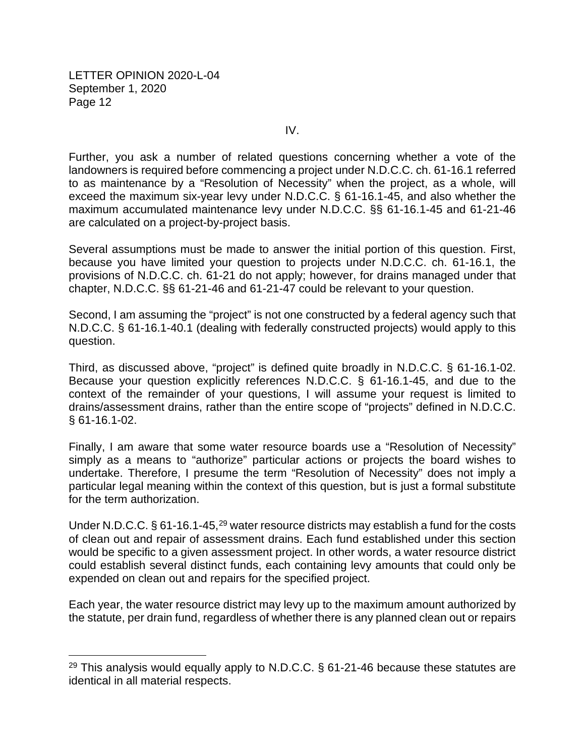IV.

Further, you ask a number of related questions concerning whether a vote of the landowners is required before commencing a project under N.D.C.C. ch. 61-16.1 referred to as maintenance by a "Resolution of Necessity" when the project, as a whole, will exceed the maximum six-year levy under N.D.C.C. § 61-16.1-45, and also whether the maximum accumulated maintenance levy under N.D.C.C. §§ 61-16.1-45 and 61-21-46 are calculated on a project-by-project basis.

Several assumptions must be made to answer the initial portion of this question. First, because you have limited your question to projects under N.D.C.C. ch. 61-16.1, the provisions of N.D.C.C. ch. 61-21 do not apply; however, for drains managed under that chapter, N.D.C.C. §§ 61-21-46 and 61-21-47 could be relevant to your question.

Second, I am assuming the "project" is not one constructed by a federal agency such that N.D.C.C. § 61-16.1-40.1 (dealing with federally constructed projects) would apply to this question.

Third, as discussed above, "project" is defined quite broadly in N.D.C.C. § 61-16.1-02. Because your question explicitly references N.D.C.C. § 61-16.1-45, and due to the context of the remainder of your questions, I will assume your request is limited to drains/assessment drains, rather than the entire scope of "projects" defined in N.D.C.C. § 61-16.1-02.

Finally, I am aware that some water resource boards use a "Resolution of Necessity" simply as a means to "authorize" particular actions or projects the board wishes to undertake. Therefore, I presume the term "Resolution of Necessity" does not imply a particular legal meaning within the context of this question, but is just a formal substitute for the term authorization.

Under N.D.C.C.  $\S 61-16.1-45$ ,  $29$  water resource districts may establish a fund for the costs of clean out and repair of assessment drains. Each fund established under this section would be specific to a given assessment project. In other words, a water resource district could establish several distinct funds, each containing levy amounts that could only be expended on clean out and repairs for the specified project.

Each year, the water resource district may levy up to the maximum amount authorized by the statute, per drain fund, regardless of whether there is any planned clean out or repairs

<span id="page-11-0"></span><sup>&</sup>lt;sup>29</sup> This analysis would equally apply to N.D.C.C.  $\S$  61-21-46 because these statutes are identical in all material respects.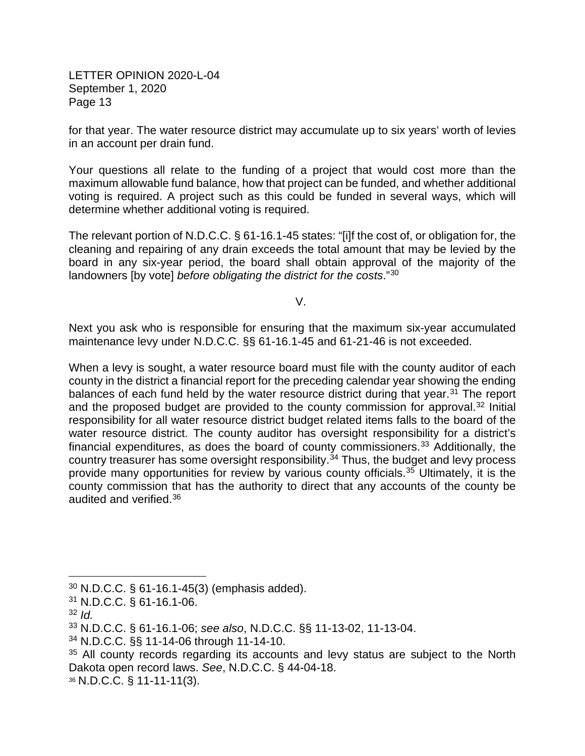for that year. The water resource district may accumulate up to six years' worth of levies in an account per drain fund.

Your questions all relate to the funding of a project that would cost more than the maximum allowable fund balance, how that project can be funded, and whether additional voting is required. A project such as this could be funded in several ways, which will determine whether additional voting is required.

The relevant portion of N.D.C.C. § 61-16.1-45 states: "[i]f the cost of, or obligation for, the cleaning and repairing of any drain exceeds the total amount that may be levied by the board in any six-year period, the board shall obtain approval of the majority of the landowners [by vote] *before obligating the district for the costs*."[30](#page-12-0)

V.

Next you ask who is responsible for ensuring that the maximum six-year accumulated maintenance levy under N.D.C.C. §§ 61-16.1-45 and 61-21-46 is not exceeded.

When a levy is sought, a water resource board must file with the county auditor of each county in the district a financial report for the preceding calendar year showing the ending balances of each fund held by the water resource district during that year.<sup>[31](#page-12-1)</sup> The report and the proposed budget are provided to the county commission for approval. [32](#page-12-2) Initial responsibility for all water resource district budget related items falls to the board of the water resource district. The county auditor has oversight responsibility for a district's financial expenditures, as does the board of county commissioners.<sup>[33](#page-12-3)</sup> Additionally, the country treasurer has some oversight responsibility.<sup>[34](#page-12-4)</sup> Thus, the budget and levy process provide many opportunities for review by various county officials.[35](#page-12-5) Ultimately, it is the county commission that has the authority to direct that any accounts of the county be audited and verified.[36](#page-12-6)

<span id="page-12-0"></span><sup>30</sup> N.D.C.C. § 61-16.1-45(3) (emphasis added).

<span id="page-12-1"></span><sup>31</sup> N.D.C.C. § 61-16.1-06.

<span id="page-12-2"></span><sup>32</sup> *Id.*

<span id="page-12-3"></span><sup>33</sup> N.D.C.C. § 61-16.1-06; *see also*, N.D.C.C. §§ 11-13-02, 11-13-04.

<span id="page-12-4"></span><sup>34</sup> N.D.C.C. §§ 11-14-06 through 11-14-10.

<span id="page-12-5"></span> $35$  All county records regarding its accounts and levy status are subject to the North Dakota open record laws. *See*, N.D.C.C. § 44-04-18.

<span id="page-12-6"></span><sup>36</sup> N.D.C.C. § 11-11-11(3).